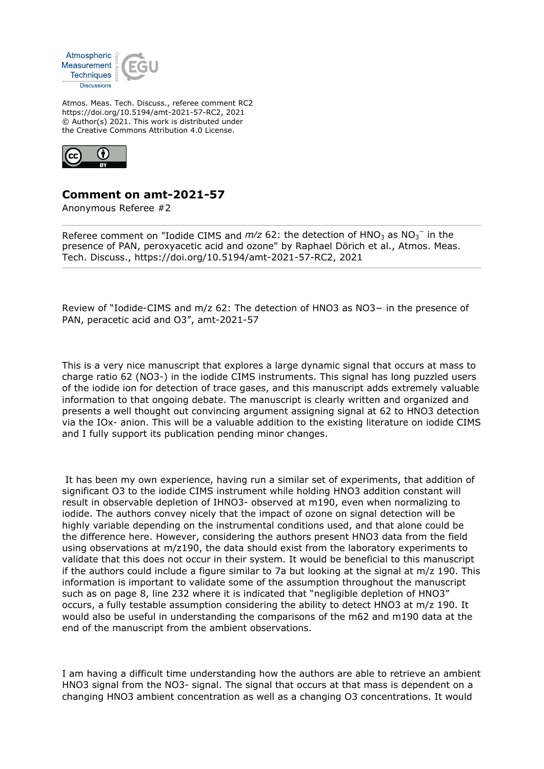

Atmos. Meas. Tech. Discuss., referee comment RC2 https://doi.org/10.5194/amt-2021-57-RC2, 2021 © Author(s) 2021. This work is distributed under the Creative Commons Attribution 4.0 License.



## **Comment on amt-2021-57**

Anonymous Referee #2

Referee comment on "Iodide CIMS and  $m/z$  62: the detection of  $HNO<sub>3</sub>$  as  $NO<sub>3</sub><sup>-</sup>$  in the presence of PAN, peroxyacetic acid and ozone" by Raphael Dörich et al., Atmos. Meas. Tech. Discuss., https://doi.org/10.5194/amt-2021-57-RC2, 2021

Review of "Iodide-CIMS and m/z 62: The detection of HNO3 as NO3− in the presence of PAN, peracetic acid and O3", amt-2021-57

This is a very nice manuscript that explores a large dynamic signal that occurs at mass to charge ratio 62 (NO3-) in the iodide CIMS instruments. This signal has long puzzled users of the iodide ion for detection of trace gases, and this manuscript adds extremely valuable information to that ongoing debate. The manuscript is clearly written and organized and presents a well thought out convincing argument assigning signal at 62 to HNO3 detection via the IOx- anion. This will be a valuable addition to the existing literature on iodide CIMS and I fully support its publication pending minor changes.

 It has been my own experience, having run a similar set of experiments, that addition of significant O3 to the iodide CIMS instrument while holding HNO3 addition constant will result in observable depletion of IHNO3- observed at m190, even when normalizing to iodide. The authors convey nicely that the impact of ozone on signal detection will be highly variable depending on the instrumental conditions used, and that alone could be the difference here. However, considering the authors present HNO3 data from the field using observations at m/z190, the data should exist from the laboratory experiments to validate that this does not occur in their system. It would be beneficial to this manuscript if the authors could include a figure similar to 7a but looking at the signal at m/z 190. This information is important to validate some of the assumption throughout the manuscript such as on page 8, line 232 where it is indicated that "negligible depletion of HNO3" occurs, a fully testable assumption considering the ability to detect HNO3 at m/z 190. It would also be useful in understanding the comparisons of the m62 and m190 data at the end of the manuscript from the ambient observations.

I am having a difficult time understanding how the authors are able to retrieve an ambient HNO3 signal from the NO3- signal. The signal that occurs at that mass is dependent on a changing HNO3 ambient concentration as well as a changing O3 concentrations. It would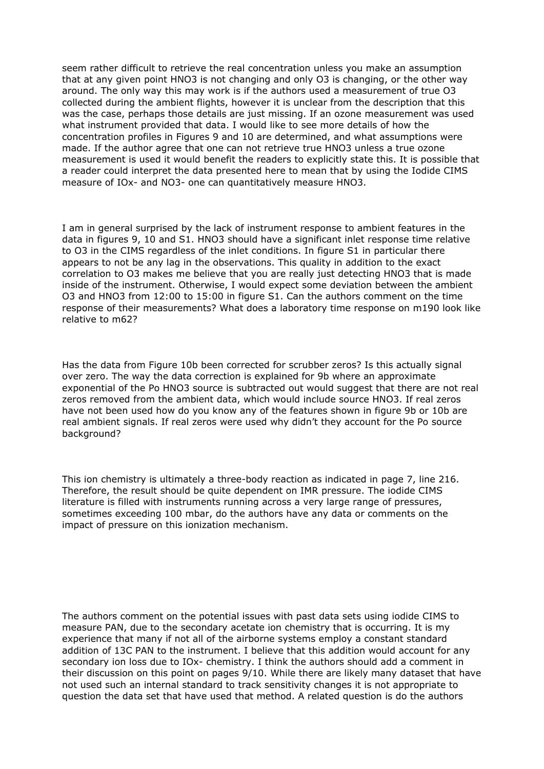seem rather difficult to retrieve the real concentration unless you make an assumption that at any given point HNO3 is not changing and only O3 is changing, or the other way around. The only way this may work is if the authors used a measurement of true O3 collected during the ambient flights, however it is unclear from the description that this was the case, perhaps those details are just missing. If an ozone measurement was used what instrument provided that data. I would like to see more details of how the concentration profiles in Figures 9 and 10 are determined, and what assumptions were made. If the author agree that one can not retrieve true HNO3 unless a true ozone measurement is used it would benefit the readers to explicitly state this. It is possible that a reader could interpret the data presented here to mean that by using the Iodide CIMS measure of IOx- and NO3- one can quantitatively measure HNO3.

I am in general surprised by the lack of instrument response to ambient features in the data in figures 9, 10 and S1. HNO3 should have a significant inlet response time relative to O3 in the CIMS regardless of the inlet conditions. In figure S1 in particular there appears to not be any lag in the observations. This quality in addition to the exact correlation to O3 makes me believe that you are really just detecting HNO3 that is made inside of the instrument. Otherwise, I would expect some deviation between the ambient O3 and HNO3 from 12:00 to 15:00 in figure S1. Can the authors comment on the time response of their measurements? What does a laboratory time response on m190 look like relative to m62?

Has the data from Figure 10b been corrected for scrubber zeros? Is this actually signal over zero. The way the data correction is explained for 9b where an approximate exponential of the Po HNO3 source is subtracted out would suggest that there are not real zeros removed from the ambient data, which would include source HNO3. If real zeros have not been used how do you know any of the features shown in figure 9b or 10b are real ambient signals. If real zeros were used why didn't they account for the Po source background?

This ion chemistry is ultimately a three-body reaction as indicated in page 7, line 216. Therefore, the result should be quite dependent on IMR pressure. The iodide CIMS literature is filled with instruments running across a very large range of pressures, sometimes exceeding 100 mbar, do the authors have any data or comments on the impact of pressure on this ionization mechanism.

The authors comment on the potential issues with past data sets using iodide CIMS to measure PAN, due to the secondary acetate ion chemistry that is occurring. It is my experience that many if not all of the airborne systems employ a constant standard addition of 13C PAN to the instrument. I believe that this addition would account for any secondary ion loss due to IOx- chemistry. I think the authors should add a comment in their discussion on this point on pages 9/10. While there are likely many dataset that have not used such an internal standard to track sensitivity changes it is not appropriate to question the data set that have used that method. A related question is do the authors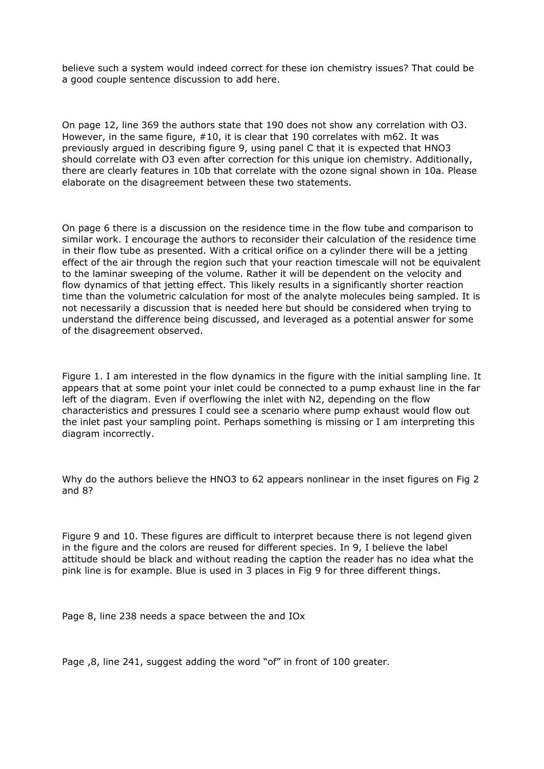believe such a system would indeed correct for these ion chemistry issues? That could be a good couple sentence discussion to add here.

On page 12, line 369 the authors state that 190 does not show any correlation with O3. However, in the same figure, #10, it is clear that 190 correlates with m62. It was previously argued in describing figure 9, using panel C that it is expected that HNO3 should correlate with O3 even after correction for this unique ion chemistry. Additionally, there are clearly features in 10b that correlate with the ozone signal shown in 10a. Please elaborate on the disagreement between these two statements.

On page 6 there is a discussion on the residence time in the flow tube and comparison to similar work. I encourage the authors to reconsider their calculation of the residence time in their flow tube as presented. With a critical orifice on a cylinder there will be a jetting effect of the air through the region such that your reaction timescale will not be equivalent to the laminar sweeping of the volume. Rather it will be dependent on the velocity and flow dynamics of that jetting effect. This likely results in a significantly shorter reaction time than the volumetric calculation for most of the analyte molecules being sampled. It is not necessarily a discussion that is needed here but should be considered when trying to understand the difference being discussed, and leveraged as a potential answer for some of the disagreement observed.

Figure 1. I am interested in the flow dynamics in the figure with the initial sampling line. It appears that at some point your inlet could be connected to a pump exhaust line in the far left of the diagram. Even if overflowing the inlet with N2, depending on the flow characteristics and pressures I could see a scenario where pump exhaust would flow out the inlet past your sampling point. Perhaps something is missing or I am interpreting this diagram incorrectly.

Why do the authors believe the HNO3 to 62 appears nonlinear in the inset figures on Fig 2 and 8?

Figure 9 and 10. These figures are difficult to interpret because there is not legend given in the figure and the colors are reused for different species. In 9, I believe the label attitude should be black and without reading the caption the reader has no idea what the pink line is for example. Blue is used in 3 places in Fig 9 for three different things.

Page 8, line 238 needs a space between the and IOx

Page ,8, line 241, suggest adding the word "of" in front of 100 greater.